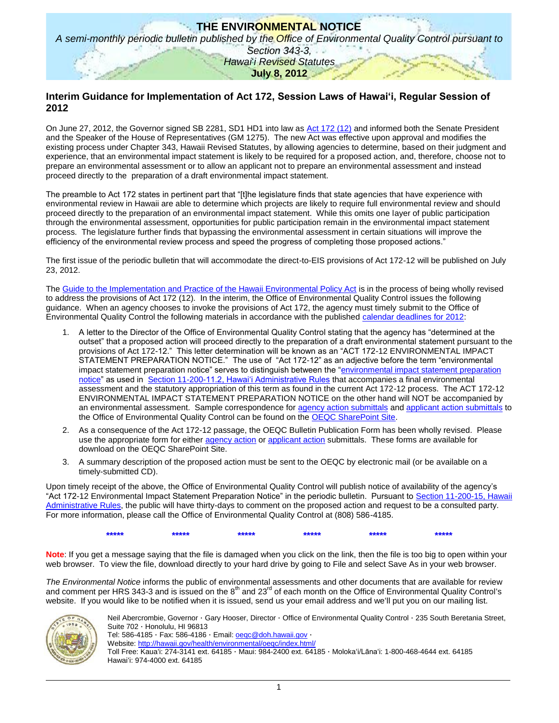# **THE ENVIRONMENTAL NOTICE** *A semi-monthly periodic bulletin published by the Office of Environmental Quality Control pursuant to Section 343-3, Hawai*'*i Revised Statutes* **July 8, 2012**

## **Interim Guidance for Implementation of Act 172, Session Laws of Hawai'i, Regular Session of 2012**

On June 27, 2012, the Governor signed SB 2281, SD1 HD1 into law as [Act 172 \(12\)](http://oeqc.doh.hawaii.gov/Shared%20Documents/Misc_Documents/Act%20172-12%20Interim%20Guidance/Act%20172-12%20and%20GM1275_.pdf) and informed both the Senate President and the Speaker of the House of Representatives (GM 1275). The new Act was effective upon approval and modifies the existing process under Chapter 343, Hawaii Revised Statutes, by allowing agencies to determine, based on their judgment and experience, that an environmental impact statement is likely to be required for a proposed action, and, therefore, choose not to prepare an environmental assessment or to allow an applicant not to prepare an environmental assessment and instead proceed directly to the preparation of a draft environmental impact statement.

The preamble to Act 172 states in pertinent part that "[t]he legislature finds that state agencies that have experience with environmental review in Hawaii are able to determine which projects are likely to require full environmental review and should proceed directly to the preparation of an environmental impact statement. While this omits one layer of public participation through the environmental assessment, opportunities for public participation remain in the environmental impact statement process. The legislature further finds that bypassing the environmental assessment in certain situations will improve the efficiency of the environmental review process and speed the progress of completing those proposed actions."

The first issue of the periodic bulletin that will accommodate the direct-to-EIS provisions of Act 172-12 will be published on July 23, 2012.

The [Guide to the Implementation and Practice of the Hawaii Environmental Policy Act](http://oeqc.doh.hawaii.gov/Shared%20Documents/Misc_Documents/Guide%20to%20the%20Implementation%20and%20Practice%20of%20the%20HEPA.pdf) is in the process of being wholly revised to address the provisions of Act 172 (12). In the interim, the Office of Environmental Quality Control issues the following guidance. When an agency chooses to invoke the provisions of Act 172, the agency must timely submit to the Office of Environmental Quality Control the following materials in accordance with the published [calendar deadlines for 2012:](http://oeqc.doh.hawaii.gov/Shared%20Documents/Environmental_Assessment_PrepKit/2012%20CALENDAR%20OF%20SUBMITTAL%20DEADLINES.pdf)

- 1. A letter to the Director of the Office of Environmental Quality Control stating that the agency has "determined at the outset" that a proposed action will proceed directly to the preparation of a draft environmental statement pursuant to the provisions of Act 172-12." This letter determination will be known as an "ACT 172-12 ENVIRONMENTAL IMPACT STATEMENT PREPARATION NOTICE." The use of "Act 172-12" as an adjective before the term "environmental impact statement preparation notice" serves to distinguish between the "environmental impact statement preparation [notice"](http://gen.doh.hawaii.gov/sites/har/AdmRules1/11-200.htm#sec_2) as used in [Section 11-200-11.2, Hawai'i Administrative Rules](http://gen.doh.hawaii.gov/sites/har/AdmRules1/11-200.htm#sec_11_2) that accompanies a final environmental assessment and the statutory appropriation of this term as found in the current Act 172-12 process. The ACT 172-12 ENVIRONMENTAL IMPACT STATEMENT PREPARATION NOTICE on the other hand will NOT be accompanied by an environmental assessment. Sample correspondence for [agency action submittals](http://oeqc.doh.hawaii.gov/Shared%20Documents/Misc_Documents/Act%20172-12%20Interim%20Guidance/Direct%20to%20EIS%20Transmittal%20Letter%20to%20OEQC%20for%20Agency%20Actions%20EXHIBIT_A.pdf) and [applicant action submittals](http://oeqc.doh.hawaii.gov/Shared%20Documents/Misc_Documents/Act%20172-12%20Interim%20Guidance/Direct%20to%20EIS%20Transmittal%20Letter%20to%20OEQC%20for%20Applicant%20Actions%20EXHIBIT_B.pdf) to the Office of Environmental Quality Control can be found on the [OEQC SharePoint Site.](http://oeqc.doh.hawaii.gov/Shared%20Documents/Forms/AllItems.aspx?RootFolder=%2fShared%20Documents%2fMisc_Documents%2fAct%20172-12%20Interim%20Guidance&View=%7bC0C5C897-3066-4821-864E-36FB3D77F5D5%7d)
- 2. As a consequence of the Act 172-12 passage, the OEQC Bulletin Publication Form has been wholly revised. Please use the appropriate form for either [agency action](http://oeqc.doh.hawaii.gov/Shared%20Documents/Misc_Documents/Act%20172-12%20Interim%20Guidance/OEQC_Publication_Form_for_Agency_Actions_rev_7_2012.doc) o[r applicant action](http://oeqc.doh.hawaii.gov/Shared%20Documents/Misc_Documents/Act%20172-12%20Interim%20Guidance/OEQC_Publication_Form_for_Applicant_Actions_rev_7_2012.doc) submittals. These forms are available for download on the OEQC SharePoint Site.
- 3. A summary description of the proposed action must be sent to the OEQC by electronic mail (or be available on a timely-submitted CD).

Upon timely receipt of the above, the Office of Environmental Quality Control will publish notice of availability of the agency's "Act 172-12 Environmental Impact Statement Preparation Notice" in the periodic bulletin. Pursuant to [Section 11-200-15, Hawaii](http://gen.doh.hawaii.gov/sites/har/AdmRules1/11-200.htm#sec_15)  [Administrative Rules,](http://gen.doh.hawaii.gov/sites/har/AdmRules1/11-200.htm#sec_15) the public will have thirty-days to comment on the proposed action and request to be a consulted party. For more information, please call the Office of Environmental Quality Control at (808) 586-4185.



**Note**: If you get a message saying that the file is damaged when you click on the link, then the file is too big to open within your web browser. To view the file, download directly to your hard drive by going to File and select Save As in your web browser.

*The Environmental Notice* informs the public of environmental assessments and other documents that are available for review and comment per HRS 343-3 and is issued on the  $8<sup>th</sup>$  and 23<sup>rd</sup> of each month on the Office of Environmental Quality Control's website. If you would like to be notified when it is issued, send us your email address and weʻll put you on our mailing list.



Neil Abercrombie, Governor · Gary Hooser, Director · Office of Environmental Quality Control · 235 South Beretania Street, Suite 702 · Honolulu, HI 96813

Tel: 586-4185 · Fax: 586-4186 · Email: [oeqc@doh.hawaii.gov](mailto:oeqc@doh.hawaii.gov) ·

Website:<http://hawaii.gov/health/environmental/oeqc/index.html/> Toll Free: Kauaʻi: 274-3141 ext. 64185 · Maui: 984-2400 ext. 64185 · Molokaʻi/Lānaʻi: 1-800-468-4644 ext. 64185 Hawaiʻi: 974-4000 ext. 64185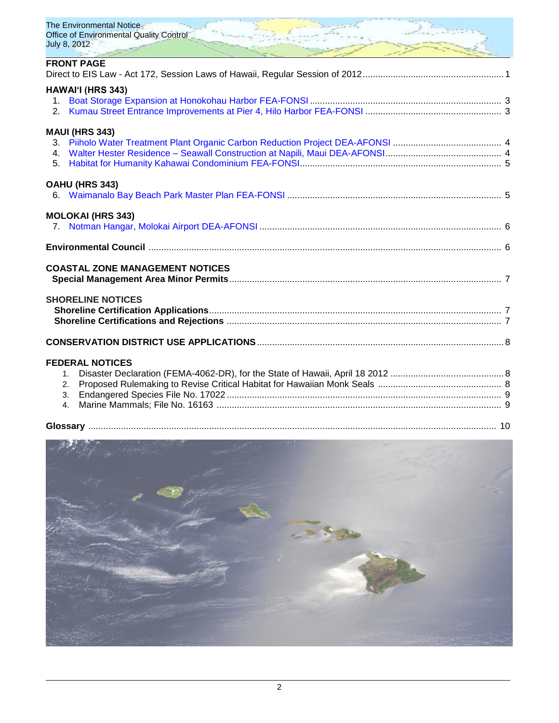| The Environmental Notice<br><b>Office of Environmental Quality Control</b><br>July 8, 2012- |  |
|---------------------------------------------------------------------------------------------|--|
| <b>FRONT PAGE</b>                                                                           |  |
| <b>HAWAI'I (HRS 343)</b><br>2.                                                              |  |
| <b>MAUI (HRS 343)</b><br>4.<br>5.                                                           |  |
| OAHU (HRS 343)                                                                              |  |
| <b>MOLOKAI (HRS 343)</b>                                                                    |  |
|                                                                                             |  |
| <b>COASTAL ZONE MANAGEMENT NOTICES</b>                                                      |  |
| <b>SHORELINE NOTICES</b>                                                                    |  |
|                                                                                             |  |

# **FEDERAL NOTICES**

| <b>FEDERAL NOTICES</b> |  |
|------------------------|--|
|                        |  |
|                        |  |
|                        |  |
|                        |  |
|                        |  |
|                        |  |

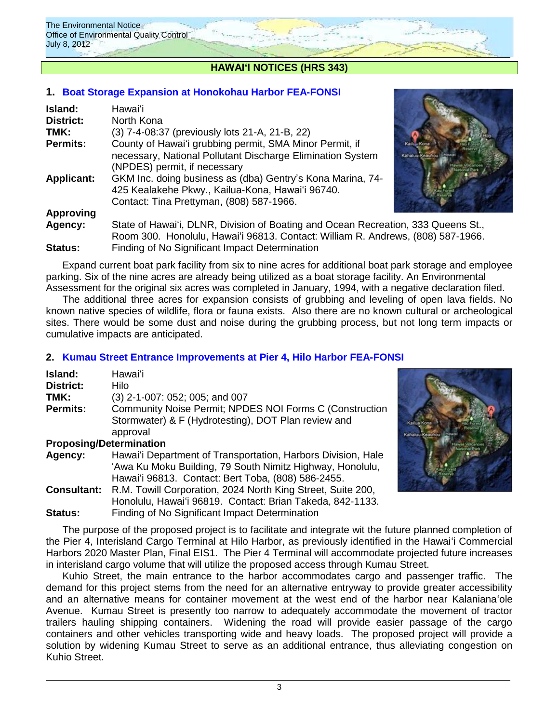

# **HAWAIʻI NOTICES (HRS 343)**

# **1. [Boat Storage Expansion](http://oeqc.doh.hawaii.gov/Shared%20Documents/EA_and_EIS_Online_Library/Hawaii/2010s/2012-07-08-FEA-Boat-Storage-Expansion-Honokohau-Harbor.pdf) at Honokohau Harbor FEA-FONSI**

| Island:           | Hawaiʻi                                                                                                                                                               |  |
|-------------------|-----------------------------------------------------------------------------------------------------------------------------------------------------------------------|--|
| District:         | North Kona                                                                                                                                                            |  |
| TMK:              | (3) 7-4-08:37 (previously lots 21-A, 21-B, 22)                                                                                                                        |  |
| <b>Permits:</b>   | County of Hawai'i grubbing permit, SMA Minor Permit, if<br>Kail L. Kona<br>necessary, National Pollutant Discharge Elimination System<br>(NPDES) permit, if necessary |  |
| <b>Applicant:</b> | GKM Inc. doing business as (dba) Gentry's Kona Marina, 74-<br>425 Kealakehe Pkwy., Kailua-Kona, Hawai'i 96740.<br>Contact: Tina Prettyman, (808) 587-1966.            |  |
| <b>Approving</b>  |                                                                                                                                                                       |  |
| Agency:           | State of Hawai'i, DLNR, Division of Boating and Ocean Recreation, 333 Queens St.,<br>Room 300. Honolulu, Hawai'i 96813. Contact: William R. Andrews, (808) 587-1966.  |  |



Expand current boat park facility from six to nine acres for additional boat park storage and employee parking. Six of the nine acres are already being utilized as a boat storage facility. An Environmental Assessment for the original six acres was completed in January, 1994, with a negative declaration filed.

The additional three acres for expansion consists of grubbing and leveling of open lava fields. No known native species of wildlife, flora or fauna exists. Also there are no known cultural or archeological sites. There would be some dust and noise during the grubbing process, but not long term impacts or cumulative impacts are anticipated.

# **2. [Kumau Street Entrance Improvements at Pier 4, Hilo Harbor](http://oeqc.doh.hawaii.gov/Shared%20Documents/EA_and_EIS_Online_Library/Hawaii/2010s/2012-07-08-FEA-Kumau-Street-Entrance-Interisland-Terminal-Project-Hilo.pdf) FEA-FONSI**

| Island:          | Hawai'i                                                          |
|------------------|------------------------------------------------------------------|
| <b>District:</b> | Hilo                                                             |
| TMK:             | (3) 2-1-007: 052; 005; and 007                                   |
| <b>Permits:</b>  | Community Noise Permit; NPDES NOI Forms C (Construction          |
|                  | Stormwater) & F (Hydrotesting), DOT Plan review and              |
|                  | approval                                                         |
|                  | <b>Proposing/Determination</b>                                   |
|                  | $\blacksquare$ . The set of the set of the set of $\blacksquare$ |

| <b>Agency:</b> | Hawai'i Department of Transportation, Harbors Division, Hale |  |  |
|----------------|--------------------------------------------------------------|--|--|
|                | 'Awa Ku Moku Building, 79 South Nimitz Highway, Honolulu,    |  |  |
|                | Hawai'i 96813. Contact: Bert Toba, (808) 586-2455.           |  |  |
| Consultant:    | R.M. Towill Corporation, 2024 North King Street, Suite 200,  |  |  |
|                | Honolulu, Hawai'i 96819. Contact: Brian Takeda, 842-1133.    |  |  |
| <b>A.L.</b>    |                                                              |  |  |

**Status:** Finding of No Significant Impact Determination The purpose of the proposed project is to facilitate and integrate wit the future planned completion of the Pier 4, Interisland Cargo Terminal at Hilo Harbor, as previously identified in the Hawaiʻi Commercial Harbors 2020 Master Plan, Final EIS1. The Pier 4 Terminal will accommodate projected future increases in interisland cargo volume that will utilize the proposed access through Kumau Street.

Kuhio Street, the main entrance to the harbor accommodates cargo and passenger traffic. The demand for this project stems from the need for an alternative entryway to provide greater accessibility and an alternative means for container movement at the west end of the harbor near Kalanianaʻole Avenue. Kumau Street is presently too narrow to adequately accommodate the movement of tractor trailers hauling shipping containers. Widening the road will provide easier passage of the cargo containers and other vehicles transporting wide and heavy loads. The proposed project will provide a solution by widening Kumau Street to serve as an additional entrance, thus alleviating congestion on Kuhio Street.

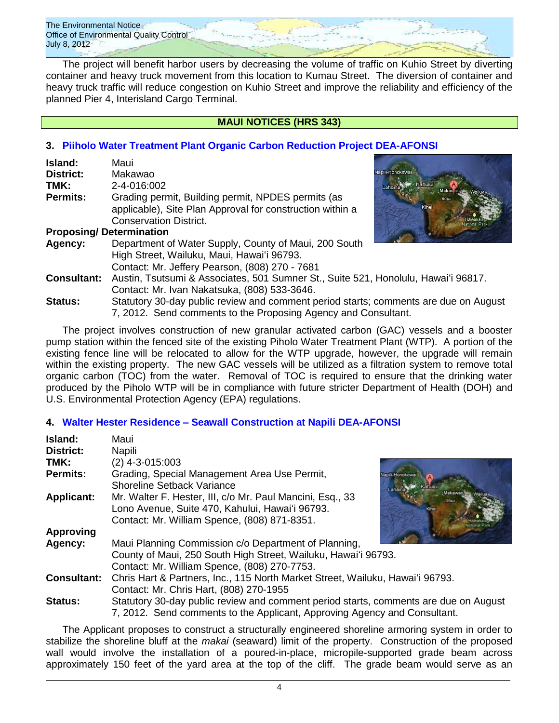The Environmental Notice Office of Environmental Quality Control July 8, 2012

The project will benefit harbor users by decreasing the volume of traffic on Kuhio Street by diverting container and heavy truck movement from this location to Kumau Street. The diversion of container and heavy truck traffic will reduce congestion on Kuhio Street and improve the reliability and efficiency of the planned Pier 4, Interisland Cargo Terminal.

# **MAUI NOTICES (HRS 343)**

# **3. [Piiholo Water Treatment Plant Organic](http://oeqc.doh.hawaii.gov/Shared%20Documents/EA_and_EIS_Online_Library/Maui/2010s/2012-07-08-DEA-Piiholo-Water-Treatment-Plant-Organic-Carbon-Reduction-Project.pdf) Carbon Reduction Project DEA-AFONSI**

| Island:                        | Maui                                                                                                                                                  |                  |
|--------------------------------|-------------------------------------------------------------------------------------------------------------------------------------------------------|------------------|
| District:                      | Makawao                                                                                                                                               | Napili-Honokowai |
| TMK:                           | 2-4-016:002                                                                                                                                           | Lahaina<br>Makay |
| <b>Permits:</b>                | Grading permit, Building permit, NPDES permits (as<br>applicable), Site Plan Approval for construction within a<br><b>Conservation District.</b>      |                  |
| <b>Proposing/Determination</b> |                                                                                                                                                       |                  |
| Agency:                        | Department of Water Supply, County of Maui, 200 South<br>High Street, Wailuku, Maui, Hawai'i 96793.<br>Contact: Mr. Jeffery Pearson, (808) 270 - 7681 |                  |
| <b>Consultant:</b>             | Austin, Tsutsumi & Associates, 501 Sumner St., Suite 521, Honolulu, Hawai'i 96817.                                                                    |                  |



Contact: Mr. Ivan Nakatsuka, (808) 533-3646. **Status:** Statutory 30-day public review and comment period starts; comments are due on August 7, 2012. Send comments to the Proposing Agency and Consultant.

The project involves construction of new granular activated carbon (GAC) vessels and a booster pump station within the fenced site of the existing Piholo Water Treatment Plant (WTP). A portion of the existing fence line will be relocated to allow for the WTP upgrade, however, the upgrade will remain within the existing property. The new GAC vessels will be utilized as a filtration system to remove total organic carbon (TOC) from the water. Removal of TOC is required to ensure that the drinking water produced by the Piholo WTP will be in compliance with future stricter Department of Health (DOH) and U.S. Environmental Protection Agency (EPA) regulations.

# **4. [Walter Hester Residence –](http://oeqc.doh.hawaii.gov/Shared%20Documents/EA_and_EIS_Online_Library/Maui/2010s/2012-07-08-DEA-Seawall-Construction-at-Walter-Residence-Napili-Maui.pdf) Seawall Construction at Napili DEA-AFONSI**

| Island:            | Maui                                                                                 |  |  |
|--------------------|--------------------------------------------------------------------------------------|--|--|
| <b>District:</b>   | Napili                                                                               |  |  |
| TMK:               | $(2)$ 4-3-015:003                                                                    |  |  |
| <b>Permits:</b>    | Grading, Special Management Area Use Permit,                                         |  |  |
|                    | <b>Shoreline Setback Variance</b>                                                    |  |  |
| <b>Applicant:</b>  | Mr. Walter F. Hester, III, c/o Mr. Paul Mancini, Esq., 33                            |  |  |
|                    | Lono Avenue, Suite 470, Kahului, Hawai'i 96793.                                      |  |  |
|                    | Contact: Mr. William Spence, (808) 871-8351.                                         |  |  |
| Approving          |                                                                                      |  |  |
| Agency:            | Maui Planning Commission c/o Department of Planning,                                 |  |  |
|                    | County of Maui, 250 South High Street, Wailuku, Hawai'i 96793.                       |  |  |
|                    | Contact: Mr. William Spence, (808) 270-7753.                                         |  |  |
| <b>Consultant:</b> | Chris Hart & Partners, Inc., 115 North Market Street, Wailuku, Hawai'i 96793.        |  |  |
|                    | Contact: Mr. Chris Hart, (808) 270-1955                                              |  |  |
| <b>Status:</b>     | Statutory 30-day public review and comment period starts, comments are due on August |  |  |
|                    | 7, 2012. Send comments to the Applicant, Approving Agency and Consultant.            |  |  |

The Applicant proposes to construct a structurally engineered shoreline armoring system in order to stabilize the shoreline bluff at the *makai* (seaward) limit of the property. Construction of the proposed wall would involve the installation of a poured-in-place, micropile-supported grade beam across approximately 150 feet of the yard area at the top of the cliff. The grade beam would serve as an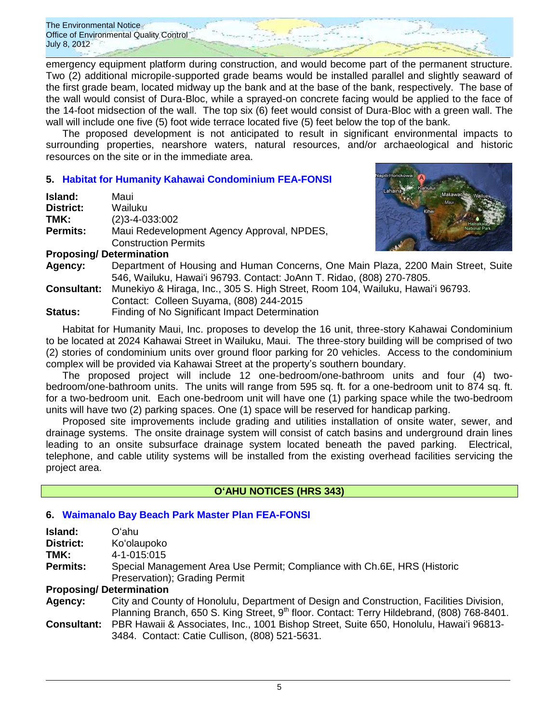The Environmental Notice Office of Environmental Quality Control July 8, 2012

emergency equipment platform during construction, and would become part of the permanent structure. Two (2) additional micropile-supported grade beams would be installed parallel and slightly seaward of the first grade beam, located midway up the bank and at the base of the bank, respectively. The base of the wall would consist of Dura-Bloc, while a sprayed-on concrete facing would be applied to the face of the 14-foot midsection of the wall. The top six (6) feet would consist of Dura-Bloc with a green wall. The wall will include one five (5) foot wide terrace located five (5) feet below the top of the bank.

The proposed development is not anticipated to result in significant environmental impacts to surrounding properties, nearshore waters, natural resources, and/or archaeological and historic resources on the site or in the immediate area.

# **5. [Habitat for Humanity Kahawai Condominium FEA-FONSI](http://oeqc.doh.hawaii.gov/Shared%20Documents/EA_and_EIS_Online_Library/Maui/2010s/2012-07-08-FEA-Habitat-for-Humanity-Kahawai-Condominiums.pdf)**

| Island:          | Maui                                       |
|------------------|--------------------------------------------|
| <b>District:</b> | Wailuku                                    |
| TMK:             | $(2)3 - 4 - 033 \cdot 002$                 |
| <b>Permits:</b>  | Maui Redevelopment Agency Approval, NPDES, |
|                  | <b>Construction Permits</b>                |



### **Proposing/ Determination**

**Agency:** Department of Housing and Human Concerns, One Main Plaza, 2200 Main Street, Suite 546, Wailuku, Hawaiʻi 96793. Contact: JoAnn T. Ridao, (808) 270-7805.

**Consultant:** Munekiyo & Hiraga, Inc., 305 S. High Street, Room 104, Wailuku, Hawaiʻi 96793.

Contact: Colleen Suyama, (808) 244-2015

**Status:** Finding of No Significant Impact Determination

Habitat for Humanity Maui, Inc. proposes to develop the 16 unit, three-story Kahawai Condominium to be located at 2024 Kahawai Street in Wailuku, Maui. The three-story building will be comprised of two (2) stories of condominium units over ground floor parking for 20 vehicles. Access to the condominium complex will be provided via Kahawai Street at the property's southern boundary.

The proposed project will include 12 one-bedroom/one-bathroom units and four (4) twobedroom/one-bathroom units. The units will range from 595 sq. ft. for a one-bedroom unit to 874 sq. ft. for a two-bedroom unit. Each one-bedroom unit will have one (1) parking space while the two-bedroom units will have two (2) parking spaces. One (1) space will be reserved for handicap parking.

Proposed site improvements include grading and utilities installation of onsite water, sewer, and drainage systems. The onsite drainage system will consist of catch basins and underground drain lines leading to an onsite subsurface drainage system located beneath the paved parking. Electrical, telephone, and cable utility systems will be installed from the existing overhead facilities servicing the project area.

# **OʻAHU NOTICES (HRS 343)**

# **6. [Waimanalo Bay Beach Park Master Plan FEA-FONSI](http://oeqc.doh.hawaii.gov/Shared%20Documents/EA_and_EIS_Online_Library/Oahu/2010s/2012-07-08-FEA-Waimanalo-Beach-Park-Master-Plan.pdf)**

| Island:                                                                                     | Oʻahu.                                                                           |  |
|---------------------------------------------------------------------------------------------|----------------------------------------------------------------------------------|--|
| District:                                                                                   | Ko'olaupoko                                                                      |  |
| TMK:                                                                                        | 4-1-015:015                                                                      |  |
| Special Management Area Use Permit; Compliance with Ch.6E, HRS (Historic<br><b>Permits:</b> |                                                                                  |  |
|                                                                                             | Preservation); Grading Permit                                                    |  |
|                                                                                             | <b>Proposing/Determination</b>                                                   |  |
| Agency.                                                                                     | City and County of Honolulu, Department of Design and Construction, Facilities D |  |

**Agency:** City and County of Honolulu, Department of Design and Construction, Facilities Division, Planning Branch, 650 S. King Street, 9<sup>th</sup> floor. Contact: Terry Hildebrand, (808) 768-8401. **Consultant:** PBR Hawaii & Associates, Inc., 1001 Bishop Street, Suite 650, Honolulu, Hawaiʻi 96813-

3484. Contact: Catie Cullison, (808) 521-5631.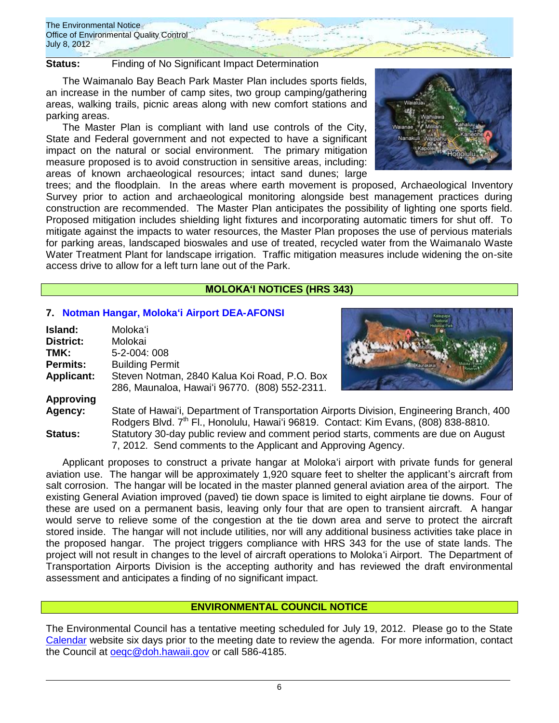

**Status:** Finding of No Significant Impact Determination

The Waimanalo Bay Beach Park Master Plan includes sports fields, an increase in the number of camp sites, two group camping/gathering areas, walking trails, picnic areas along with new comfort stations and parking areas.

The Master Plan is compliant with land use controls of the City, State and Federal government and not expected to have a significant impact on the natural or social environment. The primary mitigation measure proposed is to avoid construction in sensitive areas, including: areas of known archaeological resources; intact sand dunes; large



trees; and the floodplain. In the areas where earth movement is proposed, Archaeological Inventory Survey prior to action and archaeological monitoring alongside best management practices during construction are recommended. The Master Plan anticipates the possibility of lighting one sports field. Proposed mitigation includes shielding light fixtures and incorporating automatic timers for shut off. To mitigate against the impacts to water resources, the Master Plan proposes the use of pervious materials for parking areas, landscaped bioswales and use of treated, recycled water from the Waimanalo Waste Water Treatment Plant for landscape irrigation. Traffic mitigation measures include widening the on-site access drive to allow for a left turn lane out of the Park.

## **MOLOKAʻI NOTICES (HRS 343)**

## **7. [Notman Hangar, Molokaʻi Airport DEA-AFONSI](http://oeqc.doh.hawaii.gov/Shared%20Documents/EA_and_EIS_Online_Library/Molokai/2010s/2012-07-08-DEA-Notman-Hangar-Molokai-Airport.pdf)**

| Island:           | Moloka'i                                             |
|-------------------|------------------------------------------------------|
| <b>District:</b>  | Molokai                                              |
| TMK:              | 5-2-004: 008                                         |
| <b>Permits:</b>   | <b>Building Permit</b>                               |
| <b>Applicant:</b> | Steven Notman, 2840 Kalua Koi Road, P.O. Box         |
|                   | 286, Maunaloa, Hawai'i 96770. (808) 552-2311.        |
| <b>Approving</b>  |                                                      |
| Agency:           | State of Hawai'i, Department of Transportation Airpo |



orts Division, Engineering Branch, 400 Rodgers Blvd. 7<sup>th</sup> Fl., Honolulu, Hawai'i 96819. Contact: Kim Evans, (808) 838-8810. **Status:** Statutory 30-day public review and comment period starts, comments are due on August 7, 2012. Send comments to the Applicant and Approving Agency.

Applicant proposes to construct a private hangar at Molokaʻi airport with private funds for general aviation use. The hangar will be approximately 1,920 square feet to shelter the applicant's aircraft from salt corrosion. The hangar will be located in the master planned general aviation area of the airport. The existing General Aviation improved (paved) tie down space is limited to eight airplane tie downs. Four of these are used on a permanent basis, leaving only four that are open to transient aircraft. A hangar would serve to relieve some of the congestion at the tie down area and serve to protect the aircraft stored inside. The hangar will not include utilities, nor will any additional business activities take place in the proposed hangar. The project triggers compliance with HRS 343 for the use of state lands. The project will not result in changes to the level of aircraft operations to Molokaʻi Airport. The Department of Transportation Airports Division is the accepting authority and has reviewed the draft environmental assessment and anticipates a finding of no significant impact.

### **ENVIRONMENTAL COUNCIL NOTICE**

The Environmental Council has a tentative meeting scheduled for July 19, 2012. Please go to the State [Calendar](http://calendar.ehawaii.gov/calendar/html/event) website six days prior to the meeting date to review the agenda. For more information, contact the Council at **oeqc@doh.hawaii.gov** or call 586-4185.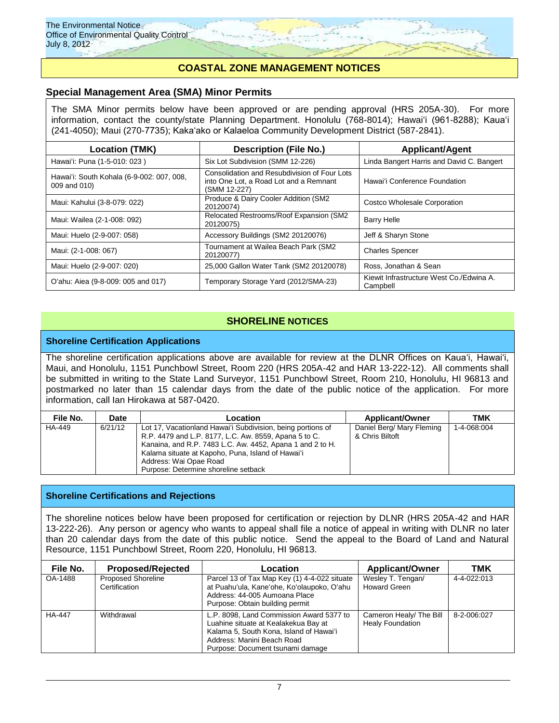# **COASTAL ZONE MANAGEMENT NOTICES**

## **Special Management Area (SMA) Minor Permits**

The SMA Minor permits below have been approved or are pending approval (HRS 205A-30). For more information, contact the county/state Planning Department. Honolulu (768-8014); Hawaiʻi (961-8288); Kauaʻi (241-4050); Maui (270-7735); Kakaʻako or Kalaeloa Community Development District (587-2841).

| Location (TMK)                                            | <b>Description (File No.)</b><br><b>Applicant/Agent</b>                                                |                                                      |
|-----------------------------------------------------------|--------------------------------------------------------------------------------------------------------|------------------------------------------------------|
| Hawai'i: Puna (1-5-010: 023)                              | Six Lot Subdivision (SMM 12-226)                                                                       | Linda Bangert Harris and David C. Bangert            |
| Hawai'i: South Kohala (6-9-002: 007, 008,<br>009 and 010) | Consolidation and Resubdivision of Four Lots<br>into One Lot, a Road Lot and a Remnant<br>(SMM 12-227) | Hawai'i Conference Foundation                        |
| Maui: Kahului (3-8-079: 022)                              | Produce & Dairy Cooler Addition (SM2)<br>20120074)                                                     | Costco Wholesale Corporation                         |
| Maui: Wailea (2-1-008: 092)                               | Relocated Restrooms/Roof Expansion (SM2<br>20120075)                                                   | <b>Barry Helle</b>                                   |
| Maui: Huelo (2-9-007: 058)                                | Accessory Buildings (SM2 20120076)                                                                     | Jeff & Sharyn Stone                                  |
| Maui: (2-1-008: 067)                                      | Tournament at Wailea Beach Park (SM2<br>20120077)                                                      | <b>Charles Spencer</b>                               |
| Maui: Huelo (2-9-007: 020)                                | 25,000 Gallon Water Tank (SM2 20120078)                                                                | Ross, Jonathan & Sean                                |
| O'ahu: Aiea (9-8-009: 005 and 017)                        | Temporary Storage Yard (2012/SMA-23)                                                                   | Kiewit Infrastructure West Co./Edwina A.<br>Campbell |

# **SHORELINE NOTICES**

### **Shoreline Certification Applications**

The shoreline certification applications above are available for review at the DLNR Offices on Kauaʻi, Hawaiʻi, Maui, and Honolulu, 1151 Punchbowl Street, Room 220 (HRS 205A-42 and HAR 13-222-12). All comments shall be submitted in writing to the State Land Surveyor, 1151 Punchbowl Street, Room 210, Honolulu, HI 96813 and postmarked no later than 15 calendar days from the date of the public notice of the application. For more information, call Ian Hirokawa at 587-0420.

| File No. | Date    | Location                                                    | <b>Applicant/Owner</b>    | тмк         |
|----------|---------|-------------------------------------------------------------|---------------------------|-------------|
| HA-449   | 6/21/12 | Lot 17, Vacationland Hawai'i Subdivision, being portions of | Daniel Berg/ Mary Fleming | 1-4-068:004 |
|          |         | R.P. 4479 and L.P. 8177, L.C. Aw. 8559, Apana 5 to C.       | & Chris Biltoft           |             |
|          |         | Kanaina, and R.P. 7483 L.C. Aw. 4452, Apana 1 and 2 to H.   |                           |             |
|          |         | Kalama situate at Kapoho, Puna, Island of Hawai'i           |                           |             |
|          |         | Address: Wai Opae Road                                      |                           |             |
|          |         | Purpose: Determine shoreline setback                        |                           |             |

### **Shoreline Certifications and Rejections**

The shoreline notices below have been proposed for certification or rejection by DLNR (HRS 205A-42 and HAR 13-222-26). Any person or agency who wants to appeal shall file a notice of appeal in writing with DLNR no later than 20 calendar days from the date of this public notice. Send the appeal to the Board of Land and Natural Resource, 1151 Punchbowl Street, Room 220, Honolulu, HI 96813.

| File No.      | <b>Proposed/Rejected</b>                   | Location                                                                                                                                                                                      | <b>Applicant/Owner</b>                             | тмк         |
|---------------|--------------------------------------------|-----------------------------------------------------------------------------------------------------------------------------------------------------------------------------------------------|----------------------------------------------------|-------------|
| OA-1488       | <b>Proposed Shoreline</b><br>Certification | Parcel 13 of Tax Map Key (1) 4-4-022 situate<br>at Puahu'ula, Kane'ohe, Ko'olaupoko, O'ahu<br>Address: 44-005 Aumoana Place<br>Purpose: Obtain building permit                                | Wesley T. Tengan/<br><b>Howard Green</b>           | 4-4-022:013 |
| <b>HA-447</b> | Withdrawal                                 | L.P. 8098, Land Commission Award 5377 to<br>Luahine situate at Kealakekua Bay at<br>Kalama 5, South Kona, Island of Hawai'i<br>Address: Manini Beach Road<br>Purpose: Document tsunami damage | Cameron Healy/ The Bill<br><b>Healy Foundation</b> | 8-2-006:027 |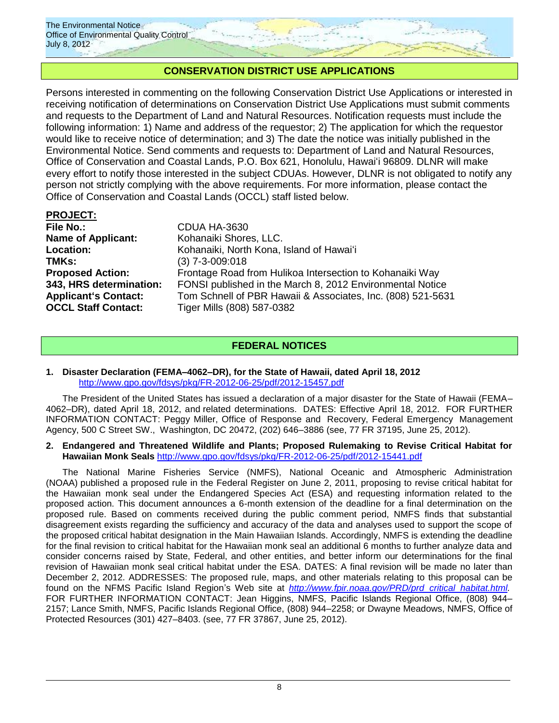

# **CONSERVATION DISTRICT USE APPLICATIONS**

Persons interested in commenting on the following Conservation District Use Applications or interested in receiving notification of determinations on Conservation District Use Applications must submit comments and requests to the Department of Land and Natural Resources. Notification requests must include the following information: 1) Name and address of the requestor; 2) The application for which the requestor would like to receive notice of determination; and 3) The date the notice was initially published in the Environmental Notice. Send comments and requests to: Department of Land and Natural Resources, Office of Conservation and Coastal Lands, P.O. Box 621, Honolulu, Hawaiʻi 96809. DLNR will make every effort to notify those interested in the subject CDUAs. However, DLNR is not obligated to notify any person not strictly complying with the above requirements. For more information, please contact the Office of Conservation and Coastal Lands (OCCL) staff listed below.

# **PROJECT:**

| <b>File No.:</b>            | CDUA HA-3630                                                |
|-----------------------------|-------------------------------------------------------------|
| <b>Name of Applicant:</b>   | Kohanaiki Shores, LLC.                                      |
| <b>Location:</b>            | Kohanaiki, North Kona, Island of Hawai'i                    |
| TMKs:                       | $(3)$ 7-3-009:018                                           |
| <b>Proposed Action:</b>     | Frontage Road from Hulikoa Intersection to Kohanaiki Way    |
| 343, HRS determination:     | FONSI published in the March 8, 2012 Environmental Notice   |
| <b>Applicant's Contact:</b> | Tom Schnell of PBR Hawaii & Associates, Inc. (808) 521-5631 |
| <b>OCCL Staff Contact:</b>  | Tiger Mills (808) 587-0382                                  |
|                             |                                                             |

# **FEDERAL NOTICES**

### **1. Disaster Declaration (FEMA–4062–DR), for the State of Hawaii, dated April 18, 2012** <http://www.gpo.gov/fdsys/pkg/FR-2012-06-25/pdf/2012-15457.pdf>

The President of the United States has issued a declaration of a major disaster for the State of Hawaii (FEMA– 4062–DR), dated April 18, 2012, and related determinations. DATES: Effective April 18, 2012. FOR FURTHER INFORMATION CONTACT: Peggy Miller, Office of Response and Recovery, Federal Emergency Management Agency, 500 C Street SW., Washington, DC 20472, (202) 646–3886 (see, 77 FR 37195, June 25, 2012).

### **2. Endangered and Threatened Wildlife and Plants; Proposed Rulemaking to Revise Critical Habitat for Hawaiian Monk Seals** <http://www.gpo.gov/fdsys/pkg/FR-2012-06-25/pdf/2012-15441.pdf>

The National Marine Fisheries Service (NMFS), National Oceanic and Atmospheric Administration (NOAA) published a proposed rule in the Federal Register on June 2, 2011, proposing to revise critical habitat for the Hawaiian monk seal under the Endangered Species Act (ESA) and requesting information related to the proposed action. This document announces a 6-month extension of the deadline for a final determination on the proposed rule. Based on comments received during the public comment period, NMFS finds that substantial disagreement exists regarding the sufficiency and accuracy of the data and analyses used to support the scope of the proposed critical habitat designation in the Main Hawaiian Islands. Accordingly, NMFS is extending the deadline for the final revision to critical habitat for the Hawaiian monk seal an additional 6 months to further analyze data and consider concerns raised by State, Federal, and other entities, and better inform our determinations for the final revision of Hawaiian monk seal critical habitat under the ESA. DATES: A final revision will be made no later than December 2, 2012. ADDRESSES: The proposed rule, maps, and other materials relating to this proposal can be found on the NFMS Pacific Island Region's Web site at *[http://www.fpir.noaa.gov/PRD/prd](http://www.fpir.noaa.gov/PRD/prd_critical_habitat.html)*\_*critical*\_*habitat.html.* FOR FURTHER INFORMATION CONTACT: Jean Higgins, NMFS, Pacific Islands Regional Office, (808) 944– 2157; Lance Smith, NMFS, Pacific Islands Regional Office, (808) 944–2258; or Dwayne Meadows, NMFS, Office of Protected Resources (301) 427–8403. (see, 77 FR 37867, June 25, 2012).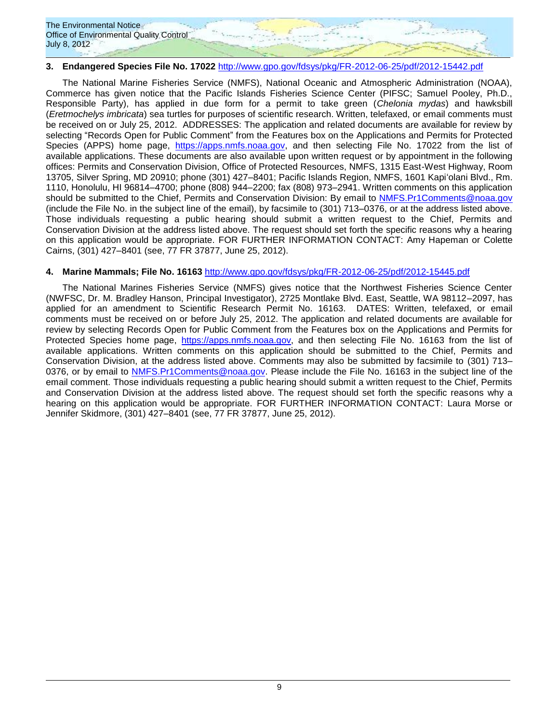

# **3. Endangered Species File No. 17022** <http://www.gpo.gov/fdsys/pkg/FR-2012-06-25/pdf/2012-15442.pdf>

The National Marine Fisheries Service (NMFS), National Oceanic and Atmospheric Administration (NOAA), Commerce has given notice that the Pacific Islands Fisheries Science Center (PIFSC; Samuel Pooley, Ph.D., Responsible Party), has applied in due form for a permit to take green (*Chelonia mydas*) and hawksbill (*Eretmochelys imbricata*) sea turtles for purposes of scientific research. Written, telefaxed, or email comments must be received on or July 25, 2012. ADDRESSES: The application and related documents are available for review by selecting "Records Open for Public Comment" from the Features box on the Applications and Permits for Protected Species (APPS) home page, [https://apps.nmfs.noaa.gov,](https://apps.nmfs.noaa.gov/) and then selecting File No. 17022 from the list of available applications. These documents are also available upon written request or by appointment in the following offices: Permits and Conservation Division, Office of Protected Resources, NMFS, 1315 East-West Highway, Room 13705, Silver Spring, MD 20910; phone (301) 427–8401; Pacific Islands Region, NMFS, 1601 Kapiʻolani Blvd., Rm. 1110, Honolulu, HI 96814–4700; phone (808) 944–2200; fax (808) 973–2941. Written comments on this application should be submitted to the Chief, Permits and Conservation Division: By email to [NMFS.Pr1Comments@noaa.gov](mailto:NMFS.Pr1Comments@noaa.gov) (include the File No. in the subject line of the email), by facsimile to (301) 713–0376, or at the address listed above. Those individuals requesting a public hearing should submit a written request to the Chief, Permits and Conservation Division at the address listed above. The request should set forth the specific reasons why a hearing on this application would be appropriate. FOR FURTHER INFORMATION CONTACT: Amy Hapeman or Colette Cairns, (301) 427–8401 (see, 77 FR 37877, June 25, 2012).

### **4. Marine Mammals; File No. 16163** <http://www.gpo.gov/fdsys/pkg/FR-2012-06-25/pdf/2012-15445.pdf>

The National Marines Fisheries Service (NMFS) gives notice that the Northwest Fisheries Science Center (NWFSC, Dr. M. Bradley Hanson, Principal Investigator), 2725 Montlake Blvd. East, Seattle, WA 98112–2097, has applied for an amendment to Scientific Research Permit No. 16163. DATES: Written, telefaxed, or email comments must be received on or before July 25, 2012. The application and related documents are available for review by selecting Records Open for Public Comment from the Features box on the Applications and Permits for Protected Species home page, [https://apps.nmfs.noaa.gov,](https://apps.nmfs.noaa.gov/) and then selecting File No. 16163 from the list of available applications. Written comments on this application should be submitted to the Chief, Permits and Conservation Division, at the address listed above. Comments may also be submitted by facsimile to (301) 713– 0376, or by email to [NMFS.Pr1Comments@noaa.gov.](mailto:NMFS.Pr1Comments@noaa.gov) Please include the File No. 16163 in the subject line of the email comment. Those individuals requesting a public hearing should submit a written request to the Chief, Permits and Conservation Division at the address listed above. The request should set forth the specific reasons why a hearing on this application would be appropriate. FOR FURTHER INFORMATION CONTACT: Laura Morse or Jennifer Skidmore, (301) 427–8401 (see, 77 FR 37877, June 25, 2012).